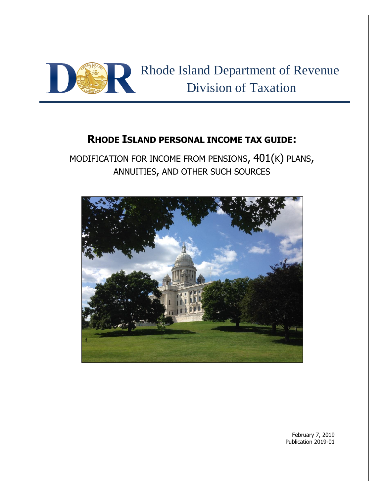

# **RHODE ISLAND PERSONAL INCOME TAX GUIDE:**

MODIFICATION FOR INCOME FROM PENSIONS, 401(K) PLANS, ANNUITIES, AND OTHER SUCH SOURCES



February 7, 2019 Publication 2019-01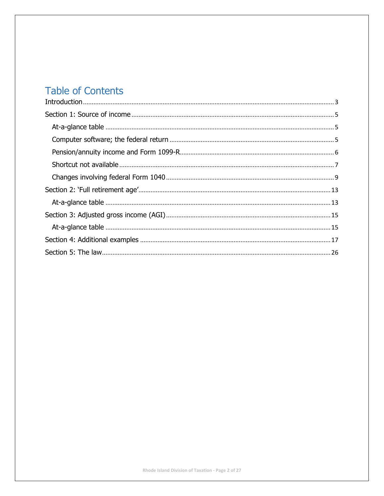# **Table of Contents**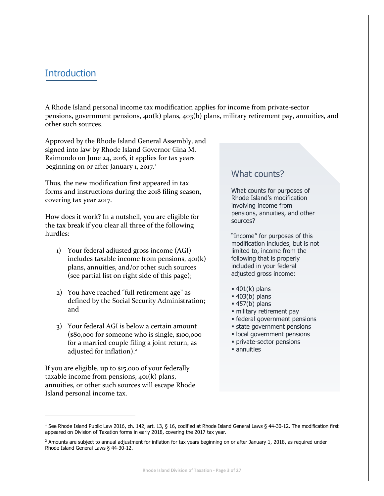# <span id="page-2-0"></span>**Introduction**

A Rhode Island personal income tax modification applies for income from private-sector pensions, government pensions, 401(k) plans, 403(b) plans, military retirement pay, annuities, and other such sources.

Approved by the Rhode Island General Assembly, and signed into law by Rhode Island Governor Gina M. Raimondo on June 24, 2016, it applies for tax years beginning on or after January 1, 2017.<sup>1</sup>

Thus, the new modification first appeared in tax forms and instructions during the 2018 filing season, covering tax year 2017.

How does it work? In a nutshell, you are eligible for the tax break if you clear all three of the following hurdles:

- 1) Your federal adjusted gross income (AGI) includes taxable income from pensions, 401(k) plans, annuities, and/or other such sources (see partial list on right side of this page);
- 2) You have reached "full retirement age" as defined by the Social Security Administration; and
- 3) Your federal AGI is below a certain amount (\$80,000 for someone who is single, \$100,000 for a married couple filing a joint return, as adjusted for inflation).<sup>2</sup>

If you are eligible, up to \$15,000 of your federally taxable income from pensions, 401(k) plans, annuities, or other such sources will escape Rhode Island personal income tax.

 $\overline{\phantom{a}}$ 

# What counts?

What counts for purposes of Rhode Island's modification involving income from pensions, annuities, and other sources?

"Income" for purposes of this modification includes, but is not limited to, income from the following that is properly included in your federal adjusted gross income:

- $\blacksquare$  401(k) plans
- $= 403(b)$  plans
- $= 457(b)$  plans
- · military retirement pay
- **Exercise 1 Federal government pensions**
- **Example 3 state government pensions**
- **local government pensions**
- **·** private-sector pensions
- annuities

<sup>1</sup> See Rhode Island Public Law 2016, ch. 142, art. 13, § 16, codified at Rhode Island General Laws § 44-30-12. The modification first appeared on Division of Taxation forms in early 2018, covering the 2017 tax year.

 $2$  Amounts are subject to annual adjustment for inflation for tax years beginning on or after January 1, 2018, as required under Rhode Island General Laws § 44-30-12.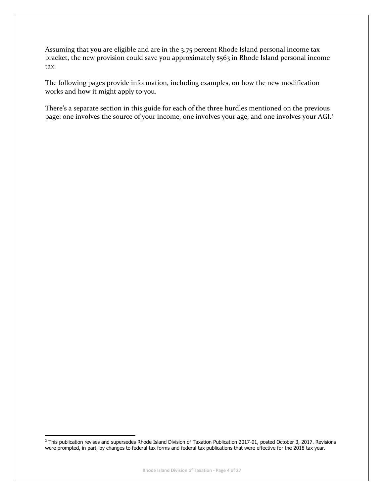Assuming that you are eligible and are in the 3.75 percent Rhode Island personal income tax bracket, the new provision could save you approximately \$563 in Rhode Island personal income tax.

The following pages provide information, including examples, on how the new modification works and how it might apply to you.

There's a separate section in this guide for each of the three hurdles mentioned on the previous page: one involves the source of your income, one involves your age, and one involves your AGI.<sup>3</sup>

 $\overline{a}$ 

<sup>&</sup>lt;sup>3</sup> This publication revises and supersedes Rhode Island Division of Taxation Publication 2017-01, posted October 3, 2017. Revisions were prompted, in part, by changes to federal tax forms and federal tax publications that were effective for the 2018 tax year.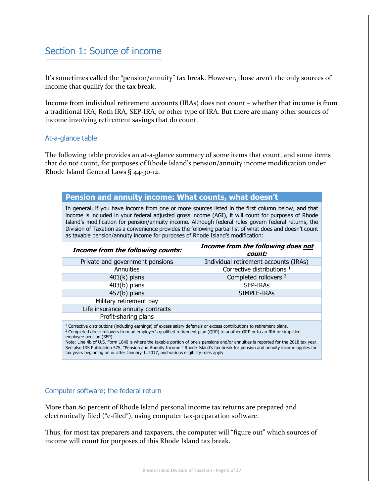# <span id="page-4-0"></span>Section 1: Source of income

It's sometimes called the "pension/annuity" tax break. However, those aren't the only sources of income that qualify for the tax break.

Income from individual retirement accounts (IRAs) does not count – whether that income is from a traditional IRA, Roth IRA, SEP-IRA, or other type of IRA. But there are many other sources of income involving retirement savings that do count.

### <span id="page-4-1"></span>At-a-glance table

The following table provides an at-a-glance summary of some items that count, and some items that do not count, for purposes of Rhode Island's pension/annuity income modification under Rhode Island General Laws § 44-30-12.

## **Pension and annuity income: What counts, what doesn't**

In general, if you have income from one or more sources listed in the first column below, and that income is included in your federal adjusted gross income (AGI), it will count for purposes of Rhode Island's modification for pension/annuity income. Although federal rules govern federal returns, the Division of Taxation as a convenience provides the following partial list of what does and doesn't count as taxable pension/annuity income for purposes of Rhode Island's modification:

| <b>Income from the following counts:</b>                                                                                           | Income from the following does not<br>count: |  |  |  |  |
|------------------------------------------------------------------------------------------------------------------------------------|----------------------------------------------|--|--|--|--|
| Private and government pensions                                                                                                    | Individual retirement accounts (IRAs)        |  |  |  |  |
| Annuities                                                                                                                          | Corrective distributions <sup>1</sup>        |  |  |  |  |
| $401(k)$ plans                                                                                                                     | Completed rollovers <sup>2</sup>             |  |  |  |  |
| $403(b)$ plans                                                                                                                     | SEP-IRAS                                     |  |  |  |  |
| $457(b)$ plans                                                                                                                     | SIMPLE-IRAs                                  |  |  |  |  |
| Military retirement pay                                                                                                            |                                              |  |  |  |  |
| Life insurance annuity contracts                                                                                                   |                                              |  |  |  |  |
| Profit-sharing plans                                                                                                               |                                              |  |  |  |  |
| <sup>1</sup> Corrective distributions (including earnings) of excess salary deferrals or excess contributions to retirement plans. |                                              |  |  |  |  |

<sup>2</sup> Completed direct rollovers from an employer's qualified retirement plan (QRP) to another QRP or to an IRA or simplified employee pension (SEP).

Note: Line 4b of U.S. Form 1040 is where the taxable portion of one's pensions and/or annuities is reported for the 2018 tax year. See also IRS Publication 575, "Pension and Annuity Income." Rhode Island's tax break for pension and annuity income applies for tax years beginning on or after January 1, 2017, and various eligibility rules apply.

### <span id="page-4-2"></span>Computer software; the federal return

More than 80 percent of Rhode Island personal income tax returns are prepared and electronically filed ("e-filed"), using computer tax-preparation software.

Thus, for most tax preparers and taxpayers, the computer will "figure out" which sources of income will count for purposes of this Rhode Island tax break.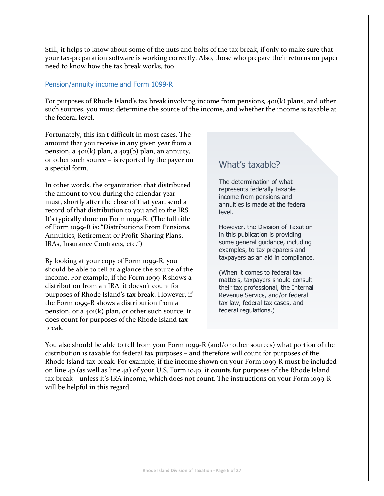Still, it helps to know about some of the nuts and bolts of the tax break, if only to make sure that your tax-preparation software is working correctly. Also, those who prepare their returns on paper need to know how the tax break works, too.

## <span id="page-5-0"></span>Pension/annuity income and Form 1099-R

For purposes of Rhode Island's tax break involving income from pensions, 401(k) plans, and other such sources, you must determine the source of the income, and whether the income is taxable at the federal level.

Fortunately, this isn't difficult in most cases. The amount that you receive in any given year from a pension, a  $401(k)$  plan, a  $403(k)$  plan, an annuity, or other such source – is reported by the payer on a special form.

In other words, the organization that distributed the amount to you during the calendar year must, shortly after the close of that year, send a record of that distribution to you and to the IRS. It's typically done on Form 1099-R. (The full title of Form 1099-R is: "Distributions From Pensions, Annuities, Retirement or Profit-Sharing Plans, IRAs, Insurance Contracts, etc.")

By looking at your copy of Form 1099-R, you should be able to tell at a glance the source of the income. For example, if the Form 1099-R shows a distribution from an IRA, it doesn't count for purposes of Rhode Island's tax break. However, if the Form 1099-R shows a distribution from a pension, or a 401(k) plan, or other such source, it does count for purposes of the Rhode Island tax break.

# What's taxable?

The determination of what represents federally taxable income from pensions and annuities is made at the federal level.

However, the Division of Taxation in this publication is providing some general guidance, including examples, to tax preparers and taxpayers as an aid in compliance.

(When it comes to federal tax matters, taxpayers should consult their tax professional, the Internal Revenue Service, and/or federal tax law, federal tax cases, and federal regulations.)

You also should be able to tell from your Form 1099-R (and/or other sources) what portion of the distribution is taxable for federal tax purposes – and therefore will count for purposes of the Rhode Island tax break. For example, if the income shown on your Form 1099-R must be included on line 4b (as well as line 4a) of your U.S. Form 1040, it counts for purposes of the Rhode Island tax break – unless it's IRA income, which does not count. The instructions on your Form 1099-R will be helpful in this regard.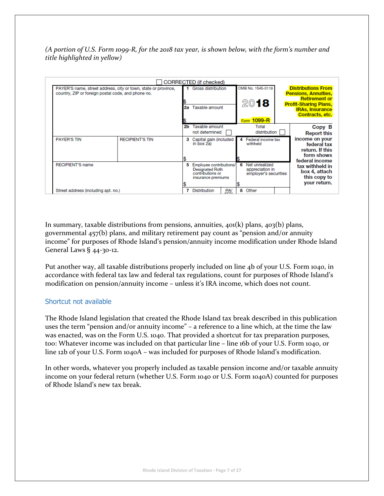*(A portion of U.S. Form 1099-R, for the 2018 tax year, is shown below, with the form's number and title highlighted in yellow)*

| PAYER'S name, street address, city or town, state or province,<br>country, ZIP or foreign postal code, and phone no. |                        | 2а | CORRECTED (if checked)<br><b>Gross distribution</b><br>Taxable amount                       |              |   | OMB No. 1545-0119<br>2018                                  |  | <b>Distributions From</b><br><b>Pensions, Annuities,</b><br><b>Retirement or</b><br><b>Profit-Sharing Plans,</b><br><b>IRAs, Insurance</b> |  |
|----------------------------------------------------------------------------------------------------------------------|------------------------|----|---------------------------------------------------------------------------------------------|--------------|---|------------------------------------------------------------|--|--------------------------------------------------------------------------------------------------------------------------------------------|--|
|                                                                                                                      |                        | 2b | Taxable amount<br>not determined                                                            |              |   | $1099 - R$<br>Form<br>Total<br>distribution                |  | <b>Contracts, etc.</b><br>Copy B<br><b>Report this</b>                                                                                     |  |
| <b>PAYER'S TIN</b>                                                                                                   | <b>RECIPIENT'S TIN</b> | з  | Capital gain (included<br>in box 2a)                                                        |              |   | 4 Federal income tax<br>withheld                           |  | income on your<br>federal tax<br>return. If this<br>form shows<br>federal income                                                           |  |
| <b>RECIPIENT'S name</b>                                                                                              |                        | 5  | Employee contributions/<br><b>Designated Roth</b><br>contributions or<br>insurance premiums |              | 6 | Net unrealized<br>appreciation in<br>employer's securities |  | tax withheld in<br>box 4, attach<br>this copy to<br>your return.                                                                           |  |
| Street address (including apt. no.)                                                                                  |                        |    | <b>Distribution</b>                                                                         | IRA/<br>SED/ | 8 | Other                                                      |  |                                                                                                                                            |  |

In summary, taxable distributions from pensions, annuities,  $40(1k)$  plans,  $403(b)$  plans, governmental 457(b) plans, and military retirement pay count as "pension and/or annuity income" for purposes of Rhode Island's pension/annuity income modification under Rhode Island General Laws § 44-30-12.

Put another way, all taxable distributions properly included on line 4b of your U.S. Form 1040, in accordance with federal tax law and federal tax regulations, count for purposes of Rhode Island's modification on pension/annuity income – unless it's IRA income, which does not count.

## <span id="page-6-0"></span>Shortcut not available

The Rhode Island legislation that created the Rhode Island tax break described in this publication uses the term "pension and/or annuity income" – a reference to a line which, at the time the law was enacted, was on the Form U.S. 1040. That provided a shortcut for tax preparation purposes, too: Whatever income was included on that particular line – line 16b of your U.S. Form 1040, or line 12b of your U.S. Form 1040A – was included for purposes of Rhode Island's modification.

In other words, whatever you properly included as taxable pension income and/or taxable annuity income on your federal return (whether U.S. Form 1040 or U.S. Form 1040A) counted for purposes of Rhode Island's new tax break.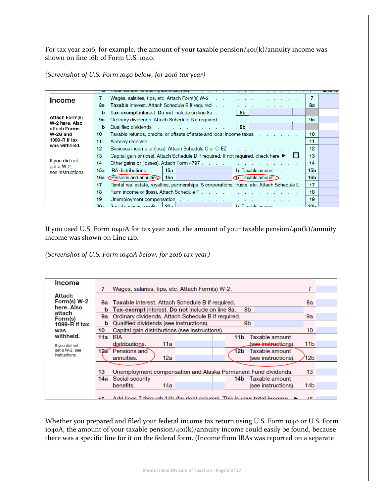For tax year 2016, for example, the amount of your taxable pension/401(k)/annuity income was shown on line 16b of Form U.S. 1040.

*(Screenshot of U.S. Form 1040 below, for 2016 tax year)*

|                                 |                                                                                                                                                                                                                                            | ililes abi |
|---------------------------------|--------------------------------------------------------------------------------------------------------------------------------------------------------------------------------------------------------------------------------------------|------------|
| <b>Income</b>                   | Wages, salaries, tips, etc. Attach Form(s) W-2                                                                                                                                                                                             |            |
|                                 | 8a<br>Taxable interest. Attach Schedule B if required<br>8a                                                                                                                                                                                |            |
|                                 | Tax-exempt interest. Do not include on line 8a   8b  <br>b                                                                                                                                                                                 |            |
| <b>Attach Form(s)</b>           | Ordinary dividends. Attach Schedule B if required<br>9а<br>9а                                                                                                                                                                              |            |
| W-2 here, Also<br>attach Forms  | Qualified dividends 9b<br>b                                                                                                                                                                                                                |            |
| W-2G and                        | Taxable refunds, credits, or offsets of state and local income taxes enterchanger and represent and represent<br>10 <sup>°</sup><br>10                                                                                                     |            |
| 1099-R if $tax$                 | 11<br>11                                                                                                                                                                                                                                   |            |
| was withheld.                   | 12 <sup>2</sup><br>12 <sup>2</sup><br>Business income or (loss). Attach Schedule C or C-EZ                                                                                                                                                 |            |
|                                 | Capital gain or (loss). Attach Schedule D if required. If not required, check here ▶<br>13<br>13                                                                                                                                           |            |
| If you did not<br>$get a W-2$ , | 14<br>14<br>Other gains or (losses). Attach Form 4797.                                                                                                                                                                                     |            |
| see instructions.               | 15 <sub>b</sub><br>IRA distributions.<br>15a<br>15a<br><b>b</b> Taxable amount                                                                                                                                                             |            |
|                                 | <b>16a</b> Pensions and annuities<br>$\Phi$ Taxable amount $\sum$ .<br>16 <sub>b</sub><br>16a                                                                                                                                              |            |
|                                 | 17<br>Rental real estate, royalties, partnerships, S corporations, trusts, etc. Attach Schedule E<br>17                                                                                                                                    |            |
|                                 | 18<br>18                                                                                                                                                                                                                                   |            |
|                                 | 19<br>19<br>Unemployment compensation enters and the set of the set of the set of the set of the set of the set of the set of the set of the set of the set of the set of the set of the set of the set of the set of the set of the set o |            |
|                                 | Social security benefits 20a<br>h Tavable amount<br>20 <sub>h</sub><br>20a                                                                                                                                                                 |            |

If you used U.S. Form 1040A for tax year 2016, the amount of your taxable pension/401(k)/annuity income was shown on Line 12b.

*(Screenshot of U.S. Form 1040A below, for 2016 tax year)*

| <b>Income</b>     |                                                                                   |                 |  |
|-------------------|-----------------------------------------------------------------------------------|-----------------|--|
|                   | Wages, salaries, tips, etc. Attach Form(s) W-2.                                   |                 |  |
| Attach            |                                                                                   |                 |  |
| Form(s) W-2       | <b>Taxable interest. Attach Schedule B if required.</b><br>8a                     | 8a              |  |
| here. Also        | Tax-exempt interest. Do not include on line 8a.<br>8b<br>b                        |                 |  |
| attach<br>Form(s) | Ordinary dividends. Attach Schedule B if required.<br>9а                          | 9a              |  |
| $1099 - R$ if tax | Qualified dividends (see instructions).<br>9b<br>b                                |                 |  |
| was               | Capital gain distributions (see instructions).<br>10                              | 10              |  |
| withheld.         | <b>IRA</b><br>Taxable amount<br>11a<br>11 <sub>b</sub>                            |                 |  |
| If you did not    | distributions.<br>11a<br>(s <del>ee instruct</del> ions).                         | 11 <sub>b</sub> |  |
| get a W-2, see    | Pensions and<br>126<br>l2b<br>Taxable amount                                      |                 |  |
| instructions.     | annuities.<br>12a<br>(see instructions).                                          | 12 <sub>b</sub> |  |
|                   |                                                                                   |                 |  |
|                   | Unemployment compensation and Alaska Permanent Fund dividends.<br>13              | 13              |  |
|                   | Social security<br>Taxable amount<br>14a<br>14b                                   |                 |  |
|                   | benefits.<br>14a<br>(see instructions).                                           | 14b             |  |
|                   |                                                                                   |                 |  |
|                   | $\triangle$ Add lines 7 through 14b (for right column). This is your total income | $-4E$           |  |

Whether you prepared and filed your federal income tax return using U.S. Form 1040 or U.S. Form 1040A, the amount of your taxable pension/401(k)/annuity income could easily be found, because there was a specific line for it on the federal form. (Income from IRAs was reported on a separate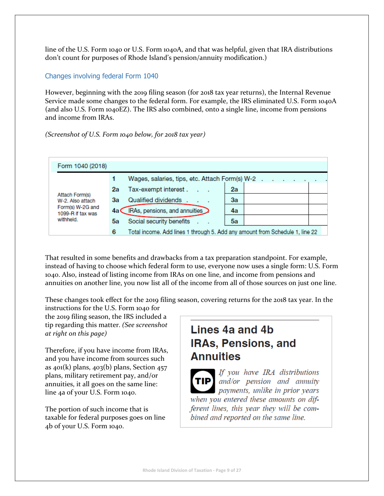line of the U.S. Form 1040 or U.S. Form 1040A, and that was helpful, given that IRA distributions don't count for purposes of Rhode Island's pension/annuity modification.)

## <span id="page-8-0"></span>Changes involving federal Form 1040

However, beginning with the 2019 filing season (for 2018 tax year returns), the Internal Revenue Service made some changes to the federal form. For example, the IRS eliminated U.S. Form 1040A (and also U.S. Form 1040EZ). The IRS also combined, onto a single line, income from pensions and income from IRAs.

## *(Screenshot of U.S. Form 1040 below, for 2018 tax year)*



That resulted in some benefits and drawbacks from a tax preparation standpoint. For example, instead of having to choose which federal form to use, everyone now uses a single form: U.S. Form 1040. Also, instead of listing income from IRAs on one line, and income from pensions and annuities on another line, you now list all of the income from all of those sources on just one line.

These changes took effect for the 2019 filing season, covering returns for the 2018 tax year. In the

instructions for the U.S. Form 1040 for the 2019 filing season, the IRS included a tip regarding this matter. *(See screenshot at right on this page)*

Therefore, if you have income from IRAs, and you have income from sources such as  $401(k)$  plans,  $403(k)$  plans, Section  $457$ plans, military retirement pay, and/or annuities, it all goes on the same line: line 4a of your U.S. Form 1040.

The portion of such income that is taxable for federal purposes goes on line 4b of your U.S. Form 1040.

# Lines 4a and 4b **IRAs, Pensions, and Annuities**

If you have IRA distributions **TIP** and/or pension and annuity payments, unlike in prior years when you entered these amounts on different lines, this year they will be combined and reported on the same line.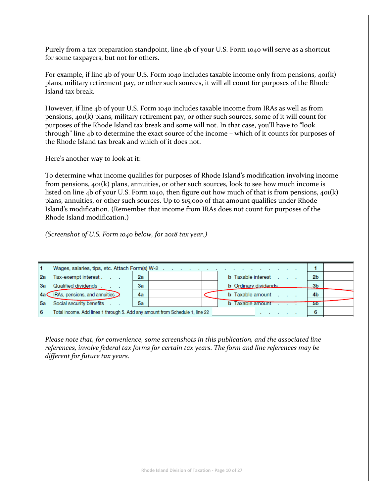Purely from a tax preparation standpoint, line 4b of your U.S. Form 1040 will serve as a shortcut for some taxpayers, but not for others.

For example, if line 4b of your U.S. Form 1040 includes taxable income only from pensions,  $40(k)$ plans, military retirement pay, or other such sources, it will all count for purposes of the Rhode Island tax break.

However, if line 4b of your U.S. Form 1040 includes taxable income from IRAs as well as from pensions, 401(k) plans, military retirement pay, or other such sources, some of it will count for purposes of the Rhode Island tax break and some will not. In that case, you'll have to "look through" line 4b to determine the exact source of the income – which of it counts for purposes of the Rhode Island tax break and which of it does not.

Here's another way to look at it:

To determine what income qualifies for purposes of Rhode Island's modification involving income from pensions, 401(k) plans, annuities, or other such sources, look to see how much income is listed on line 4b of your U.S. Form 1040, then figure out how much of that is from pensions, 401(k) plans, annuities, or other such sources. Up to \$15,000 of that amount qualifies under Rhode Island's modification. (Remember that income from IRAs does not count for purposes of the Rhode Island modification.)

*(Screenshot of U.S. Form 1040 below, for 2018 tax year.)*

|           | Wages, salaries, tips, etc. Attach Form(s) W-2                               |    |                                 |                |  |
|-----------|------------------------------------------------------------------------------|----|---------------------------------|----------------|--|
| 2a        | Tax-exempt interest                                                          | 2a | <b>b</b> Taxable interest       | 2 <sub>b</sub> |  |
| Зa        | Qualified dividends                                                          | 3a | <b>b</b> Ordinary dividends     | 3 <sub>b</sub> |  |
| 4a (      | IRAs, pensions, and annuities                                                | 4a | <b>b</b> Taxable amount         | 4b             |  |
| <u>5а</u> | Social security benefits<br>$\sim$ $\sim$ $\sim$                             | 5a | <b>b</b> Taxable amount         | 5 <sub>b</sub> |  |
| 6         | Total income. Add lines 1 through 5. Add any amount from Schedule 1, line 22 |    | the contract of the contract of | 6              |  |

*Please note that, for convenience, some screenshots in this publication, and the associated line references, involve federal tax forms for certain tax years. The form and line references may be different for future tax years.*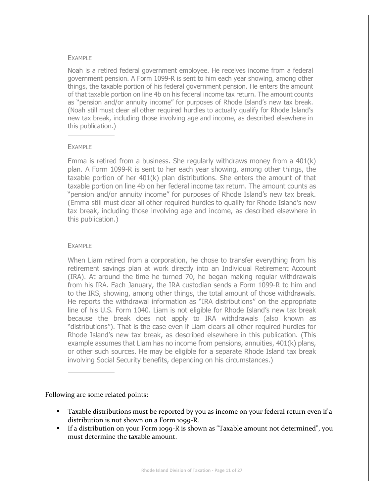#### EXAMPLE

Noah is a retired federal government employee. He receives income from a federal government pension. A Form 1099-R is sent to him each year showing, among other things, the taxable portion of his federal government pension. He enters the amount of that taxable portion on line 4b on his federal income tax return. The amount counts as "pension and/or annuity income" for purposes of Rhode Island's new tax break. (Noah still must clear all other required hurdles to actually qualify for Rhode Island's new tax break, including those involving age and income, as described elsewhere in this publication.)

#### EXAMPLE

Emma is retired from a business. She regularly withdraws money from a 401(k) plan. A Form 1099-R is sent to her each year showing, among other things, the taxable portion of her 401(k) plan distributions. She enters the amount of that taxable portion on line 4b on her federal income tax return. The amount counts as "pension and/or annuity income" for purposes of Rhode Island's new tax break. (Emma still must clear all other required hurdles to qualify for Rhode Island's new tax break, including those involving age and income, as described elsewhere in this publication.)

#### EXAMPLE

When Liam retired from a corporation, he chose to transfer everything from his retirement savings plan at work directly into an Individual Retirement Account (IRA). At around the time he turned 70, he began making regular withdrawals from his IRA. Each January, the IRA custodian sends a Form 1099-R to him and to the IRS, showing, among other things, the total amount of those withdrawals. He reports the withdrawal information as "IRA distributions" on the appropriate line of his U.S. Form 1040. Liam is not eligible for Rhode Island's new tax break because the break does not apply to IRA withdrawals (also known as "distributions"). That is the case even if Liam clears all other required hurdles for Rhode Island's new tax break, as described elsewhere in this publication. (This example assumes that Liam has no income from pensions, annuities, 401(k) plans, or other such sources. He may be eligible for a separate Rhode Island tax break involving Social Security benefits, depending on his circumstances.)

### Following are some related points:

- **•** Taxable distributions must be reported by you as income on your federal return even if a distribution is not shown on a Form 1099-R.
- If a distribution on your Form 1099-R is shown as "Taxable amount not determined", you must determine the taxable amount.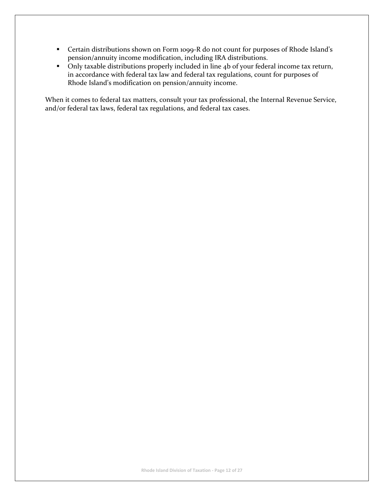- Certain distributions shown on Form 1099-R do not count for purposes of Rhode Island's pension/annuity income modification, including IRA distributions.
- Only taxable distributions properly included in line 4b of your federal income tax return, in accordance with federal tax law and federal tax regulations, count for purposes of Rhode Island's modification on pension/annuity income.

When it comes to federal tax matters, consult your tax professional, the Internal Revenue Service, and/or federal tax laws, federal tax regulations, and federal tax cases.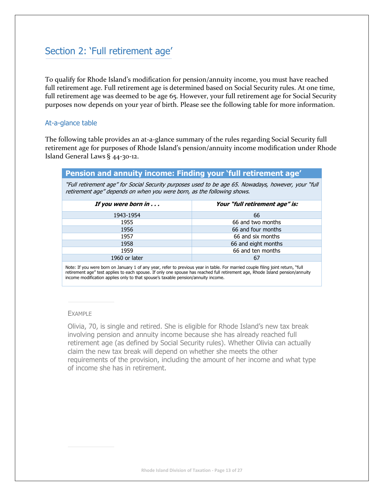# <span id="page-12-0"></span>Section 2: 'Full retirement age'

To qualify for Rhode Island's modification for pension/annuity income, you must have reached full retirement age. Full retirement age is determined based on Social Security rules. At one time, full retirement age was deemed to be age 65. However, your full retirement age for Social Security purposes now depends on your year of birth. Please see the following table for more information.

## <span id="page-12-1"></span>At-a-glance table

The following table provides an at-a-glance summary of the rules regarding Social Security full retirement age for purposes of Rhode Island's pension/annuity income modification under Rhode Island General Laws § 44-30-12.

| Pension and annuity income: Finding your 'full retirement age'                                                                                                                                                                                                                                                                                        |                                |  |  |  |  |  |
|-------------------------------------------------------------------------------------------------------------------------------------------------------------------------------------------------------------------------------------------------------------------------------------------------------------------------------------------------------|--------------------------------|--|--|--|--|--|
| "Full retirement age" for Social Security purposes used to be age 65. Nowadays, however, your "full"<br>retirement age" depends on when you were born, as the following shows.                                                                                                                                                                        |                                |  |  |  |  |  |
| If you were born in                                                                                                                                                                                                                                                                                                                                   | Your "full retirement age" is: |  |  |  |  |  |
| 1943-1954                                                                                                                                                                                                                                                                                                                                             | 66                             |  |  |  |  |  |
| 1955                                                                                                                                                                                                                                                                                                                                                  | 66 and two months              |  |  |  |  |  |
| 1956                                                                                                                                                                                                                                                                                                                                                  | 66 and four months             |  |  |  |  |  |
| 1957                                                                                                                                                                                                                                                                                                                                                  | 66 and six months              |  |  |  |  |  |
| 1958                                                                                                                                                                                                                                                                                                                                                  | 66 and eight months            |  |  |  |  |  |
| 1959                                                                                                                                                                                                                                                                                                                                                  | 66 and ten months              |  |  |  |  |  |
| 1960 or later                                                                                                                                                                                                                                                                                                                                         | 67                             |  |  |  |  |  |
| Note: If you were born on January 1 of any year, refer to previous year in table. For married couple filing joint return, "full<br>retirement age" test applies to each spouse. If only one spouse has reached full retirement age, Rhode Island pension/annuity<br>income modification applies only to that spouse's taxable pension/annuity income. |                                |  |  |  |  |  |

#### EXAMPLE

Olivia, 70, is single and retired. She is eligible for Rhode Island's new tax break involving pension and annuity income because she has already reached full retirement age (as defined by Social Security rules). Whether Olivia can actually claim the new tax break will depend on whether she meets the other requirements of the provision, including the amount of her income and what type of income she has in retirement.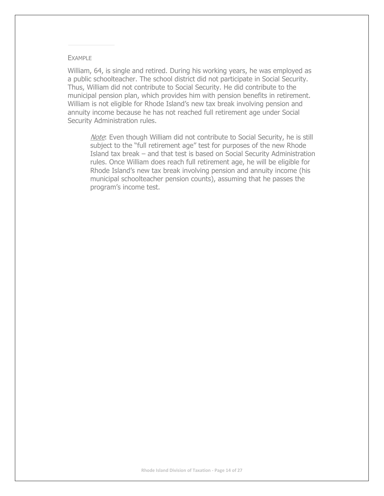#### EXAMPLE

William, 64, is single and retired. During his working years, he was employed as a public schoolteacher. The school district did not participate in Social Security. Thus, William did not contribute to Social Security. He did contribute to the municipal pension plan, which provides him with pension benefits in retirement. William is not eligible for Rhode Island's new tax break involving pension and annuity income because he has not reached full retirement age under Social Security Administration rules.

Note: Even though William did not contribute to Social Security, he is still subject to the "full retirement age" test for purposes of the new Rhode Island tax break – and that test is based on Social Security Administration rules. Once William does reach full retirement age, he will be eligible for Rhode Island's new tax break involving pension and annuity income (his municipal schoolteacher pension counts), assuming that he passes the program's income test.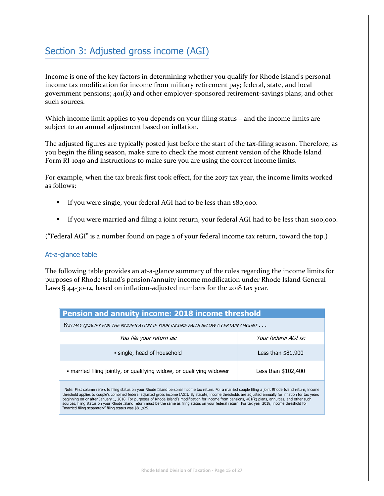# <span id="page-14-0"></span>Section 3: Adjusted gross income (AGI)

Income is one of the key factors in determining whether you qualify for Rhode Island's personal income tax modification for income from military retirement pay; federal, state, and local government pensions; 401(k) and other employer-sponsored retirement-savings plans; and other such sources.

Which income limit applies to you depends on your filing status – and the income limits are subject to an annual adjustment based on inflation.

The adjusted figures are typically posted just before the start of the tax-filing season. Therefore, as you begin the filing season, make sure to check the most current version of the Rhode Island Form RI-1040 and instructions to make sure you are using the correct income limits.

For example, when the tax break first took effect, for the 2017 tax year, the income limits worked as follows:

- If you were single, your federal AGI had to be less than \$80,000.
- If you were married and filing a joint return, your federal AGI had to be less than \$100,000.

("Federal AGI" is a number found on page 2 of your federal income tax return, toward the top.)

## <span id="page-14-1"></span>At-a-glance table

The following table provides an at-a-glance summary of the rules regarding the income limits for purposes of Rhode Island's pension/annuity income modification under Rhode Island General Laws § 44-30-12, based on inflation-adjusted numbers for the 2018 tax year.

| Pension and annuity income: 2018 income threshold                                                                                                           |                      |  |  |  |  |
|-------------------------------------------------------------------------------------------------------------------------------------------------------------|----------------------|--|--|--|--|
| YOU MAY OUALIFY FOR THE MODIFICATION IF YOUR INCOME FALLS BELOW A CERTAIN AMOUNT                                                                            |                      |  |  |  |  |
| You file your return as:                                                                                                                                    | Your federal AGI is: |  |  |  |  |
| • single, head of household                                                                                                                                 | Less than \$81,900   |  |  |  |  |
| · married filing jointly, or qualifying widow, or qualifying widower                                                                                        | Less than \$102,400  |  |  |  |  |
| Note: First column refers to filing status on your Rhode Island personal income tax return. For a married couple filing a joint Rhode Island return, income |                      |  |  |  |  |

threshold applies to couple's combined federal adjusted gross income (AGI). By statute, income thresholds are adjusted annually for inflation for tax years beginning on or after January 1, 2018. For purposes of Rhode Island's modification for income from pensions, 401(k) plans, annuities, and other such sources, filing status on your Rhode Island return must be the same as filing status on your federal return. For tax year 2018, income threshold for "married filing separately" filing status was \$81,925.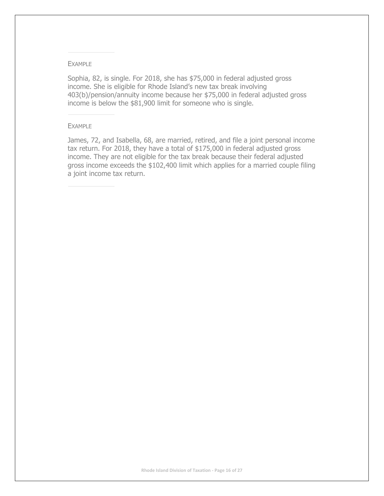#### EXAMPLE

Sophia, 82, is single. For 2018, she has \$75,000 in federal adjusted gross income. She is eligible for Rhode Island's new tax break involving 403(b)/pension/annuity income because her \$75,000 in federal adjusted gross income is below the \$81,900 limit for someone who is single.

#### EXAMPLE

James, 72, and Isabella, 68, are married, retired, and file a joint personal income tax return. For 2018, they have a total of \$175,000 in federal adjusted gross income. They are not eligible for the tax break because their federal adjusted gross income exceeds the \$102,400 limit which applies for a married couple filing a joint income tax return.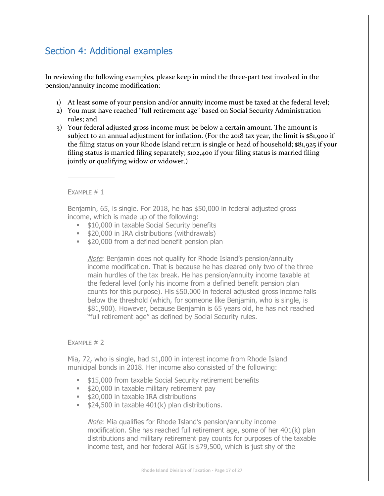# <span id="page-16-0"></span>Section 4: Additional examples

In reviewing the following examples, please keep in mind the three-part test involved in the pension/annuity income modification:

- 1) At least some of your pension and/or annuity income must be taxed at the federal level;
- 2) You must have reached "full retirement age" based on Social Security Administration rules; and
- 3) Your federal adjusted gross income must be below a certain amount. The amount is subject to an annual adjustment for inflation. (For the 2018 tax year, the limit is \$81,900 if the filing status on your Rhode Island return is single or head of household; \$81,925 if your filing status is married filing separately; \$102,400 if your filing status is married filing jointly or qualifying widow or widower.)

EXAMPLE  $# 1$ 

Benjamin, 65, is single. For 2018, he has \$50,000 in federal adjusted gross income, which is made up of the following:

- **.** \$10,000 in taxable Social Security benefits
- \$20,000 in IRA distributions (withdrawals)
- **.** \$20,000 from a defined benefit pension plan

Note: Benjamin does not qualify for Rhode Island's pension/annuity income modification. That is because he has cleared only two of the three main hurdles of the tax break. He has pension/annuity income taxable at the federal level (only his income from a defined benefit pension plan counts for this purpose). His \$50,000 in federal adjusted gross income falls below the threshold (which, for someone like Benjamin, who is single, is \$81,900). However, because Benjamin is 65 years old, he has not reached "full retirement age" as defined by Social Security rules.

## $FXAMP$   $# 2$

Mia, 72, who is single, had \$1,000 in interest income from Rhode Island municipal bonds in 2018. Her income also consisted of the following:

- **\$15,000 from taxable Social Security retirement benefits**
- **.** \$20,000 in taxable military retirement pay
- **.** \$20,000 in taxable IRA distributions
- $\approx$  \$24,500 in taxable 401(k) plan distributions.

Note: Mia qualifies for Rhode Island's pension/annuity income modification. She has reached full retirement age, some of her 401(k) plan distributions and military retirement pay counts for purposes of the taxable income test, and her federal AGI is \$79,500, which is just shy of the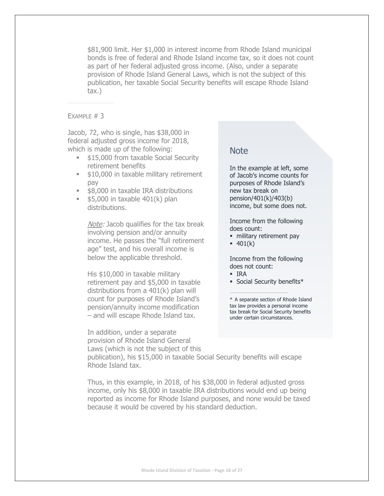\$81,900 limit. Her \$1,000 in interest income from Rhode Island municipal bonds is free of federal and Rhode Island income tax, so it does not count as part of her federal adjusted gross income. (Also, under a separate provision of Rhode Island General Laws, which is not the subject of this publication, her taxable Social Security benefits will escape Rhode Island tax.)

#### EXAMPLE  $# 3$

Jacob, 72, who is single, has \$38,000 in federal adjusted gross income for 2018, which is made up of the following:

- \$15,000 from taxable Social Security retirement benefits
- **. \$10,000 in taxable military retirement** pay
- \$8,000 in taxable IRA distributions
- $\bullet$  \$5,000 in taxable 401(k) plan distributions.

Note: Jacob qualifies for the tax break involving pension and/or annuity income. He passes the "full retirement age" test, and his overall income is below the applicable threshold.

His \$10,000 in taxable military retirement pay and \$5,000 in taxable distributions from a 401(k) plan will count for purposes of Rhode Island's pension/annuity income modification – and will escape Rhode Island tax.

In addition, under a separate provision of Rhode Island General Laws (which is not the subject of this

## Note

In the example at left, some of Jacob's income counts for purposes of Rhode Island's new tax break on pension/401(k)/403(b) income, but some does not.

Income from the following does count:

- · military retirement pay
- $-401(k)$

Income from the following does not count:

- IRA
- Social Security benefits\*

\* A separate section of Rhode Island tax law provides a personal income tax break for Social Security benefits under certain circumstances.

publication), his \$15,000 in taxable Social Security benefits will escape Rhode Island tax.

Thus, in this example, in 2018, of his \$38,000 in federal adjusted gross income, only his \$8,000 in taxable IRA distributions would end up being reported as income for Rhode Island purposes, and none would be taxed because it would be covered by his standard deduction.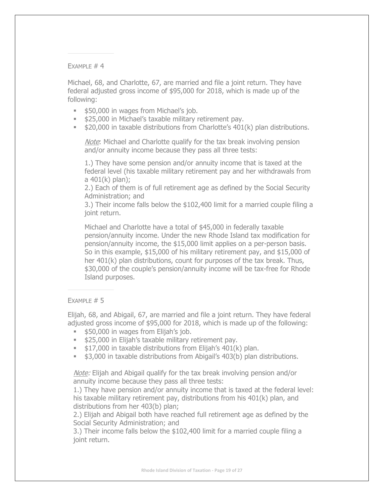EXAMPLE  $# 4$ 

Michael, 68, and Charlotte, 67, are married and file a joint return. They have federal adjusted gross income of \$95,000 for 2018, which is made up of the following:

- **.** \$50,000 in wages from Michael's job.
- \$25,000 in Michael's taxable military retirement pay.
- \$20,000 in taxable distributions from Charlotte's 401(k) plan distributions.

Note: Michael and Charlotte qualify for the tax break involving pension and/or annuity income because they pass all three tests:

1.) They have some pension and/or annuity income that is taxed at the federal level (his taxable military retirement pay and her withdrawals from a 401(k) plan);

2.) Each of them is of full retirement age as defined by the Social Security Administration; and

3.) Their income falls below the \$102,400 limit for a married couple filing a joint return.

Michael and Charlotte have a total of \$45,000 in federally taxable pension/annuity income. Under the new Rhode Island tax modification for pension/annuity income, the \$15,000 limit applies on a per-person basis. So in this example, \$15,000 of his military retirement pay, and \$15,000 of her 401(k) plan distributions, count for purposes of the tax break. Thus, \$30,000 of the couple's pension/annuity income will be tax-free for Rhode Island purposes.

### EXAMPLE  $# 5$

Elijah, 68, and Abigail, 67, are married and file a joint return. They have federal adjusted gross income of \$95,000 for 2018, which is made up of the following:

- **. \$50,000 in wages from Elijah's job.**
- **.** \$25,000 in Elijah's taxable military retirement pay.
- **.** \$17,000 in taxable distributions from Elijah's 401(k) plan.
- \$3,000 in taxable distributions from Abigail's 403(b) plan distributions.

Note: Elijah and Abigail qualify for the tax break involving pension and/or annuity income because they pass all three tests:

1.) They have pension and/or annuity income that is taxed at the federal level: his taxable military retirement pay, distributions from his 401(k) plan, and distributions from her 403(b) plan;

2.) Elijah and Abigail both have reached full retirement age as defined by the Social Security Administration; and

3.) Their income falls below the \$102,400 limit for a married couple filing a joint return.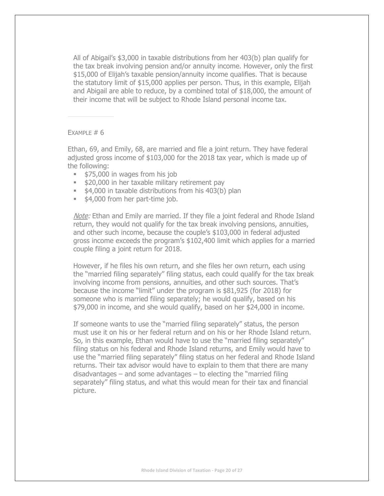All of Abigail's \$3,000 in taxable distributions from her 403(b) plan qualify for the tax break involving pension and/or annuity income. However, only the first \$15,000 of Elijah's taxable pension/annuity income qualifies. That is because the statutory limit of \$15,000 applies per person. Thus, in this example, Elijah and Abigail are able to reduce, by a combined total of \$18,000, the amount of their income that will be subject to Rhode Island personal income tax.

EXAMPLE  $# 6$ 

Ethan, 69, and Emily, 68, are married and file a joint return. They have federal adjusted gross income of \$103,000 for the 2018 tax year, which is made up of the following:

- **.** \$75,000 in wages from his job
- **.** \$20,000 in her taxable military retirement pay
- **.** \$4,000 in taxable distributions from his 403(b) plan
- \$4,000 from her part-time job.

Note: Ethan and Emily are married. If they file a joint federal and Rhode Island return, they would not qualify for the tax break involving pensions, annuities, and other such income, because the couple's \$103,000 in federal adjusted gross income exceeds the program's \$102,400 limit which applies for a married couple filing a joint return for 2018.

However, if he files his own return, and she files her own return, each using the "married filing separately" filing status, each could qualify for the tax break involving income from pensions, annuities, and other such sources. That's because the income "limit" under the program is \$81,925 (for 2018) for someone who is married filing separately; he would qualify, based on his \$79,000 in income, and she would qualify, based on her \$24,000 in income.

If someone wants to use the "married filing separately" status, the person must use it on his or her federal return and on his or her Rhode Island return. So, in this example, Ethan would have to use the "married filing separately" filing status on his federal and Rhode Island returns, and Emily would have to use the "married filing separately" filing status on her federal and Rhode Island returns. Their tax advisor would have to explain to them that there are many disadvantages – and some advantages – to electing the "married filing separately" filing status, and what this would mean for their tax and financial picture.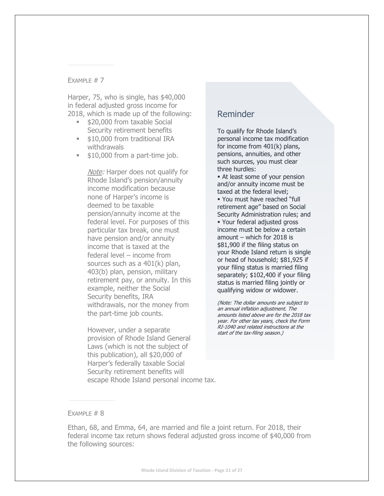### EXAMPLE  $# 7$

Harper, 75, who is single, has \$40,000 in federal adjusted gross income for 2018, which is made up of the following:

- **. \$20,000 from taxable Social** Security retirement benefits
- **.** \$10,000 from traditional IRA withdrawals
- **.** \$10,000 from a part-time job.

Note: Harper does not qualify for Rhode Island's pension/annuity income modification because none of Harper's income is deemed to be taxable pension/annuity income at the federal level. For purposes of this particular tax break, one must have pension and/or annuity income that is taxed at the federal level – income from sources such as a 401(k) plan, 403(b) plan, pension, military retirement pay, or annuity. In this example, neither the Social Security benefits, IRA withdrawals, nor the money from the part-time job counts.

However, under a separate provision of Rhode Island General Laws (which is not the subject of this publication), all \$20,000 of Harper's federally taxable Social Security retirement benefits will escape Rhode Island personal income tax.

# Reminder

To qualify for Rhode Island's personal income tax modification for income from 401(k) plans, pensions, annuities, and other such sources, you must clear three hurdles:

**Example 1 At least some of your pension** and/or annuity income must be taxed at the federal level; ▪ You must have reached "full retirement age" based on Social Security Administration rules; and ▪ Your federal adjusted gross income must be below a certain amount – which for 2018 is \$81,900 if the filing status on your Rhode Island return is single or head of household; \$81,925 if your filing status is married filing separately; \$102,400 if your filing status is married filing jointly or qualifying widow or widower.

(Note: The dollar amounts are subject to an annual inflation adjustment. The amounts listed above are for the 2018 tax year. For other tax years, check the Form RI-1040 and related instructions at the start of the tax-filing season.)

## EXAMPLE  $# 8$

Ethan, 68, and Emma, 64, are married and file a joint return. For 2018, their federal income tax return shows federal adjusted gross income of \$40,000 from the following sources: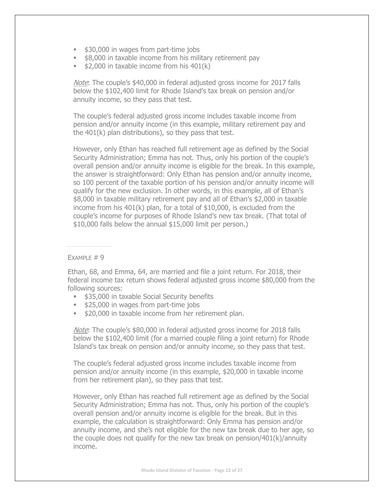- \$30,000 in wages from part-time jobs
- \$8,000 in taxable income from his military retirement pay
- $\bullet$  \$2,000 in taxable income from his 401(k)

Note: The couple's \$40,000 in federal adjusted gross income for 2017 falls below the \$102,400 limit for Rhode Island's tax break on pension and/or annuity income, so they pass that test.

The couple's federal adjusted gross income includes taxable income from pension and/or annuity income (in this example, military retirement pay and the 401(k) plan distributions), so they pass that test.

However, only Ethan has reached full retirement age as defined by the Social Security Administration; Emma has not. Thus, only his portion of the couple's overall pension and/or annuity income is eligible for the break. In this example, the answer is straightforward: Only Ethan has pension and/or annuity income, so 100 percent of the taxable portion of his pension and/or annuity income will qualify for the new exclusion. In other words, in this example, all of Ethan's \$8,000 in taxable military retirement pay and all of Ethan's \$2,000 in taxable income from his 401(k) plan, for a total of \$10,000, is excluded from the couple's income for purposes of Rhode Island's new tax break. (That total of \$10,000 falls below the annual \$15,000 limit per person.)

#### $FXAMPIF #9$

Ethan, 68, and Emma, 64, are married and file a joint return. For 2018, their federal income tax return shows federal adjusted gross income \$80,000 from the following sources:

- **. \$35,000 in taxable Social Security benefits**
- **.** \$25,000 in wages from part-time jobs
- **.** \$20,000 in taxable income from her retirement plan.

Note: The couple's \$80,000 in federal adjusted gross income for 2018 falls below the \$102,400 limit (for a married couple filing a joint return) for Rhode Island's tax break on pension and/or annuity income, so they pass that test.

The couple's federal adjusted gross income includes taxable income from pension and/or annuity income (in this example, \$20,000 in taxable income from her retirement plan), so they pass that test.

However, only Ethan has reached full retirement age as defined by the Social Security Administration; Emma has not. Thus, only his portion of the couple's overall pension and/or annuity income is eligible for the break. But in this example, the calculation is straightforward: Only Emma has pension and/or annuity income, and she's not eligible for the new tax break due to her age, so the couple does not qualify for the new tax break on pension/401(k)/annuity income.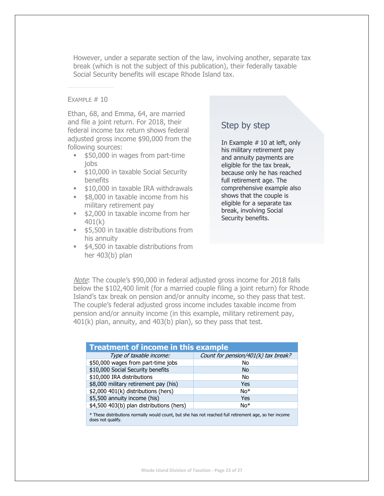However, under a separate section of the law, involving another, separate tax break (which is not the subject of this publication), their federally taxable Social Security benefits will escape Rhode Island tax.

#### EXAMPLE  $# 10$

Ethan, 68, and Emma, 64, are married and file a joint return. For 2018, their federal income tax return shows federal adjusted gross income \$90,000 from the following sources:

- **.** \$50,000 in wages from part-time jobs
- \$10,000 in taxable Social Security benefits
- **.** \$10,000 in taxable IRA withdrawals
- \$8,000 in taxable income from his military retirement pay
- \$2,000 in taxable income from her 401(k)
- **.** \$5,500 in taxable distributions from his annuity
- \$4,500 in taxable distributions from her 403(b) plan

# Step by step

In Example  $# 10$  at left, only his military retirement pay and annuity payments are eligible for the tax break, because only he has reached full retirement age. The comprehensive example also shows that the couple is eligible for a separate tax break, involving Social Security benefits.

Note: The couple's \$90,000 in federal adjusted gross income for 2018 falls below the \$102,400 limit (for a married couple filing a joint return) for Rhode Island's tax break on pension and/or annuity income, so they pass that test. The couple's federal adjusted gross income includes taxable income from pension and/or annuity income (in this example, military retirement pay, 401(k) plan, annuity, and 403(b) plan), so they pass that test.

| <b>Treatment of income in this example</b>                                                             |                                     |  |  |  |  |
|--------------------------------------------------------------------------------------------------------|-------------------------------------|--|--|--|--|
| Type of taxable income:                                                                                | Count for pension/401(k) tax break? |  |  |  |  |
| \$50,000 wages from part-time jobs                                                                     | No                                  |  |  |  |  |
| \$10,000 Social Security benefits                                                                      | No.                                 |  |  |  |  |
| \$10,000 IRA distributions                                                                             | No                                  |  |  |  |  |
| \$8,000 military retirement pay (his)                                                                  | Yes                                 |  |  |  |  |
| \$2,000 401(k) distributions (hers)                                                                    | $No*$                               |  |  |  |  |
| \$5,500 annuity income (his)                                                                           | Yes                                 |  |  |  |  |
| \$4,500 403(b) plan distributions (hers)                                                               | $No*$                               |  |  |  |  |
| * These distributions normally would count, but she has not reached full retirement age, so her income |                                     |  |  |  |  |

does not qualify.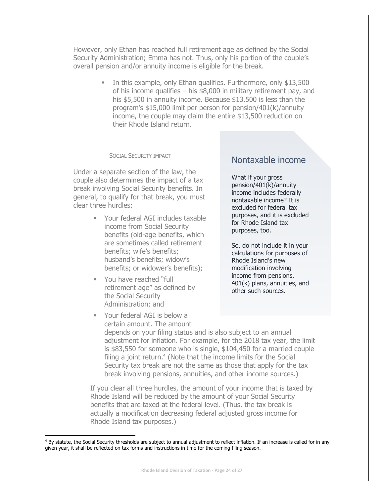However, only Ethan has reached full retirement age as defined by the Social Security Administration; Emma has not. Thus, only his portion of the couple's overall pension and/or annuity income is eligible for the break.

> ▪ In this example, only Ethan qualifies. Furthermore, only \$13,500 of his income qualifies – his \$8,000 in military retirement pay, and his \$5,500 in annuity income. Because \$13,500 is less than the program's \$15,000 limit per person for pension/401(k)/annuity income, the couple may claim the entire \$13,500 reduction on their Rhode Island return.

#### SOCIAL SECURITY IMPACT

Under a separate section of the law, the couple also determines the impact of a tax break involving Social Security benefits. In general, to qualify for that break, you must clear three hurdles:

- Your federal AGI includes taxable income from Social Security benefits (old-age benefits, which are sometimes called retirement benefits; wife's benefits; husband's benefits; widow's benefits; or widower's benefits);
- You have reached "full retirement age" as defined by the Social Security Administration; and
- Your federal AGI is below a certain amount. The amount

 $\overline{a}$ 

# Nontaxable income

What if your gross pension/401(k)/annuity income includes federally nontaxable income? It is excluded for federal tax purposes, and it is excluded for Rhode Island tax purposes, too.

So, do not include it in your calculations for purposes of Rhode Island's new modification involving income from pensions, 401(k) plans, annuities, and other such sources.

depends on your filing status and is also subject to an annual adjustment for inflation. For example, for the 2018 tax year, the limit is \$83,550 for someone who is single, \$104,450 for a married couple filing a joint return.<sup>4</sup> (Note that the income limits for the Social Security tax break are not the same as those that apply for the tax break involving pensions, annuities, and other income sources.)

If you clear all three hurdles, the amount of your income that is taxed by Rhode Island will be reduced by the amount of your Social Security benefits that are taxed at the federal level. (Thus, the tax break is actually a modification decreasing federal adjusted gross income for Rhode Island tax purposes.)

<sup>&</sup>lt;sup>4</sup> By statute, the Social Security thresholds are subject to annual adjustment to reflect inflation. If an increase is called for in any given year, it shall be reflected on tax forms and instructions in time for the coming filing season.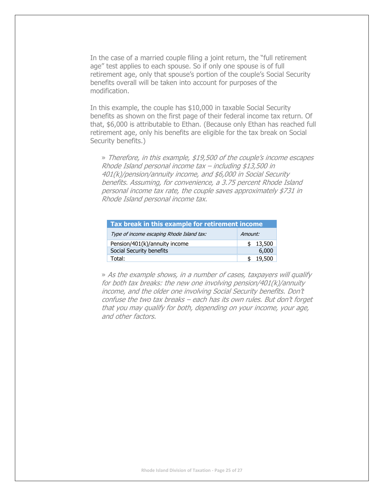In the case of a married couple filing a joint return, the "full retirement age" test applies to each spouse. So if only one spouse is of full retirement age, only that spouse's portion of the couple's Social Security benefits overall will be taken into account for purposes of the modification.

In this example, the couple has \$10,000 in taxable Social Security benefits as shown on the first page of their federal income tax return. Of that, \$6,000 is attributable to Ethan. (Because only Ethan has reached full retirement age, only his benefits are eligible for the tax break on Social Security benefits.)

» Therefore, in this example, \$19,500 of the couple's income escapes Rhode Island personal income tax – including \$13,500 in 401(k)/pension/annuity income, and \$6,000 in Social Security benefits. Assuming, for convenience, a 3.75 percent Rhode Island personal income tax rate, the couple saves approximately \$731 in Rhode Island personal income tax.

| Tax break in this example for retirement income |         |        |  |  |  |  |
|-------------------------------------------------|---------|--------|--|--|--|--|
| Type of income escaping Rhode Island tax:       | Amount: |        |  |  |  |  |
| Pension/401(k)/annuity income                   |         | 13,500 |  |  |  |  |
| Social Security benefits                        |         | 6,000  |  |  |  |  |
| Total:                                          |         | 19.500 |  |  |  |  |

» As the example shows, in a number of cases, taxpayers will qualify for both tax breaks: the new one involving pension/401(k)/annuity income, and the older one involving Social Security benefits. Don't confuse the two tax breaks – each has its own rules. But don't forget that you may qualify for both, depending on your income, your age, and other factors.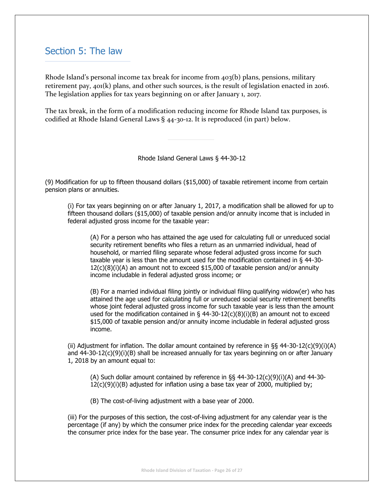# <span id="page-25-0"></span>Section 5: The law

Rhode Island's personal income tax break for income from 403(b) plans, pensions, military retirement pay, 401(k) plans, and other such sources, is the result of legislation enacted in 2016. The legislation applies for tax years beginning on or after January 1, 2017.

The tax break, in the form of a modification reducing income for Rhode Island tax purposes, is codified at Rhode Island General Laws § 44-30-12. It is reproduced (in part) below.

Rhode Island General Laws § 44-30-12

(9) Modification for up to fifteen thousand dollars (\$15,000) of taxable retirement income from certain pension plans or annuities.

(i) For tax years beginning on or after January 1, 2017, a modification shall be allowed for up to fifteen thousand dollars (\$15,000) of taxable pension and/or annuity income that is included in federal adjusted gross income for the taxable year:

(A) For a person who has attained the age used for calculating full or unreduced social security retirement benefits who files a return as an unmarried individual, head of household, or married filing separate whose federal adjusted gross income for such taxable year is less than the amount used for the modification contained in § 44-30-  $12(c)(8)(i)(A)$  an amount not to exceed \$15,000 of taxable pension and/or annuity income includable in federal adjusted gross income; or

(B) For a married individual filing jointly or individual filing qualifying widow(er) who has attained the age used for calculating full or unreduced social security retirement benefits whose joint federal adjusted gross income for such taxable year is less than the amount used for the modification contained in  $\S$  44-30-12(c)(8)(i)(B) an amount not to exceed \$15,000 of taxable pension and/or annuity income includable in federal adjusted gross income.

(ii) Adjustment for inflation. The dollar amount contained by reference in  $\S$ § 44-30-12(c)(9)(i)(A) and 44-30-12(c)(9)(i)(B) shall be increased annually for tax years beginning on or after January 1, 2018 by an amount equal to:

(A) Such dollar amount contained by reference in §§ 44-30-12(c)(9)(i)(A) and 44-30-  $12(c)(9)(i)(B)$  adjusted for inflation using a base tax year of 2000, multiplied by;

(B) The cost-of-living adjustment with a base year of 2000.

(iii) For the purposes of this section, the cost-of-living adjustment for any calendar year is the percentage (if any) by which the consumer price index for the preceding calendar year exceeds the consumer price index for the base year. The consumer price index for any calendar year is